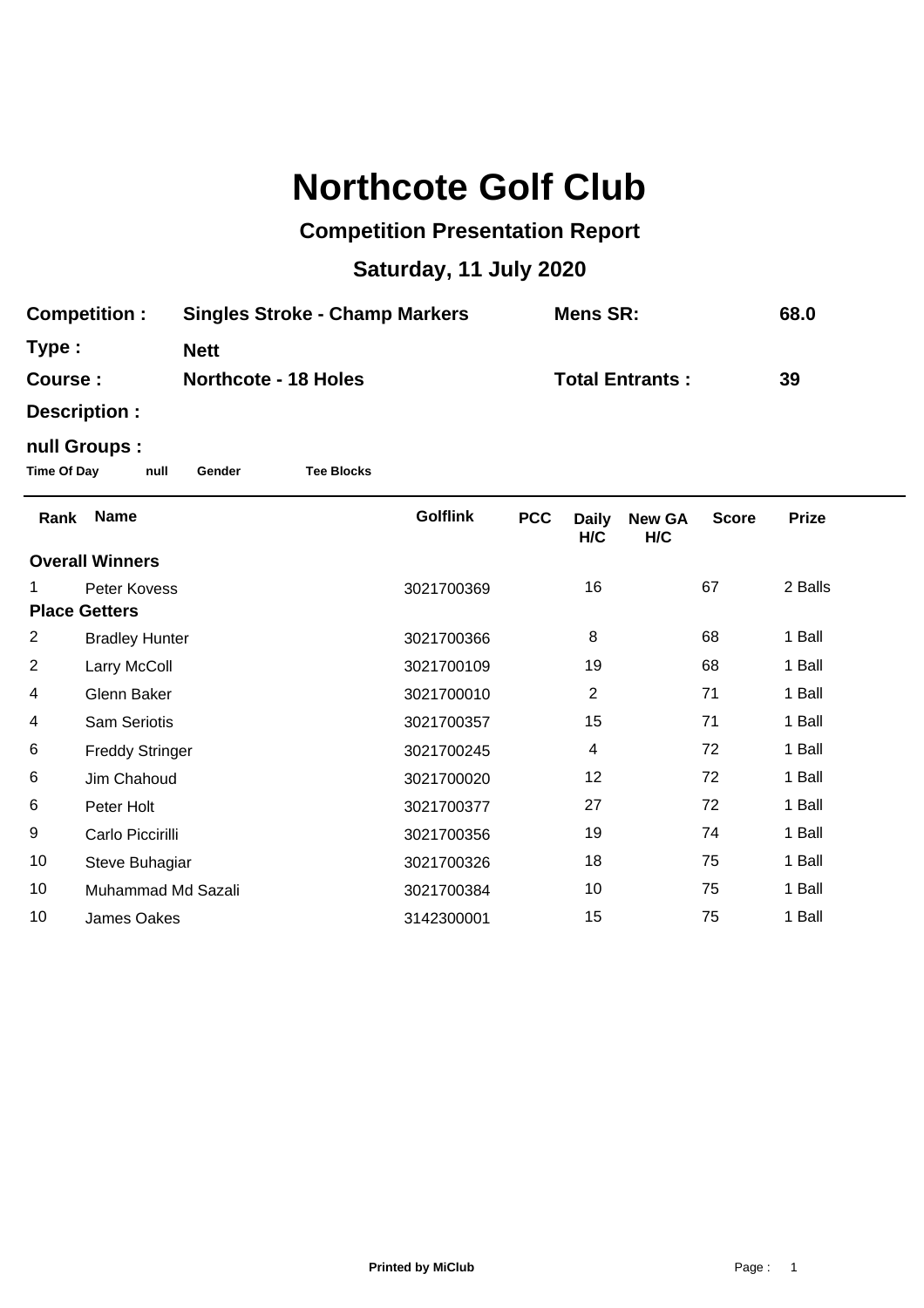## **Northcote Golf Club**

## **Competition Presentation Report**

## **Saturday, 11 July 2020**

| <b>Competition:</b><br>Type:<br>Course:                   |                        | <b>Singles Stroke - Champ Markers</b> |  |                 | <b>Mens SR:</b>        |                     |                      |              | 68.0<br>39   |  |  |  |  |
|-----------------------------------------------------------|------------------------|---------------------------------------|--|-----------------|------------------------|---------------------|----------------------|--------------|--------------|--|--|--|--|
|                                                           |                        | <b>Nett</b>                           |  |                 |                        |                     |                      |              |              |  |  |  |  |
|                                                           |                        | <b>Northcote - 18 Holes</b>           |  |                 | <b>Total Entrants:</b> |                     |                      |              |              |  |  |  |  |
|                                                           | Description :          |                                       |  |                 |                        |                     |                      |              |              |  |  |  |  |
| null Groups :                                             |                        |                                       |  |                 |                        |                     |                      |              |              |  |  |  |  |
| <b>Time Of Day</b><br><b>Tee Blocks</b><br>null<br>Gender |                        |                                       |  |                 |                        |                     |                      |              |              |  |  |  |  |
| Rank                                                      | <b>Name</b>            |                                       |  | <b>Golflink</b> | <b>PCC</b>             | <b>Daily</b><br>H/C | <b>New GA</b><br>H/C | <b>Score</b> | <b>Prize</b> |  |  |  |  |
| <b>Overall Winners</b>                                    |                        |                                       |  |                 |                        |                     |                      |              |              |  |  |  |  |
| 1                                                         | Peter Kovess           |                                       |  | 3021700369      |                        | 16                  |                      | 67           | 2 Balls      |  |  |  |  |
| <b>Place Getters</b>                                      |                        |                                       |  |                 |                        |                     |                      |              |              |  |  |  |  |
| $\overline{2}$                                            | <b>Bradley Hunter</b>  |                                       |  | 3021700366      |                        | 8                   |                      | 68           | 1 Ball       |  |  |  |  |
| $\overline{c}$                                            | Larry McColl           |                                       |  | 3021700109      |                        | 19                  |                      | 68           | 1 Ball       |  |  |  |  |
| 4                                                         | Glenn Baker            |                                       |  | 3021700010      |                        | $\overline{2}$      |                      | 71           | 1 Ball       |  |  |  |  |
| 4                                                         | <b>Sam Seriotis</b>    |                                       |  | 3021700357      |                        | 15                  |                      | 71           | 1 Ball       |  |  |  |  |
| 6                                                         | <b>Freddy Stringer</b> |                                       |  | 3021700245      |                        | 4                   |                      | 72           | 1 Ball       |  |  |  |  |
| 6                                                         | Jim Chahoud            |                                       |  | 3021700020      |                        | 12                  |                      | 72           | 1 Ball       |  |  |  |  |
| 6                                                         | Peter Holt             |                                       |  | 3021700377      |                        | 27                  |                      | 72           | 1 Ball       |  |  |  |  |
| 9                                                         | Carlo Piccirilli       |                                       |  | 3021700356      |                        | 19                  |                      | 74           | 1 Ball       |  |  |  |  |
| 10                                                        | Steve Buhagiar         |                                       |  | 3021700326      |                        | 18                  |                      | 75           | 1 Ball       |  |  |  |  |
| 10                                                        | Muhammad Md Sazali     |                                       |  | 3021700384      |                        | 10                  |                      | 75           | 1 Ball       |  |  |  |  |
| 10                                                        | <b>James Oakes</b>     |                                       |  | 3142300001      |                        | 15                  |                      | 75           | 1 Ball       |  |  |  |  |